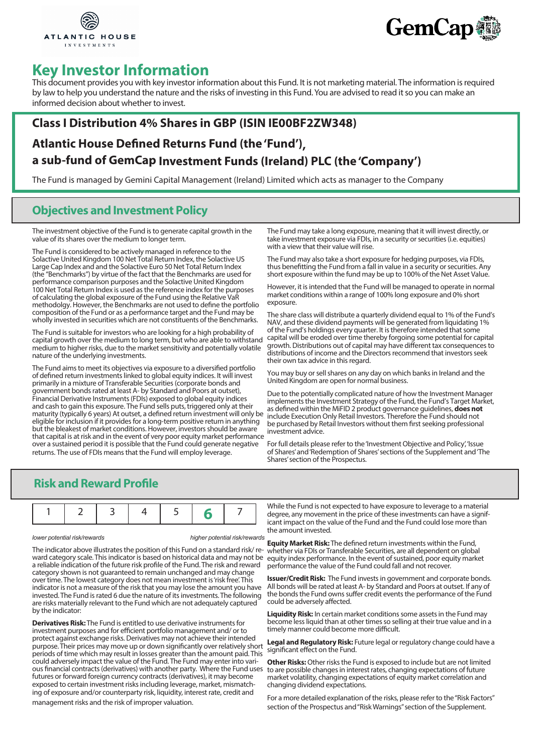



# **Key Investor Information**

This document provides you with key investor information about this Fund. It is not marketing material. The information is required by law to help you understand the nature and the risks of investing in this Fund. You are advised to read it so you can make an informed decision about whether to invest.

## **Class I Distribution 4% Shares in GBP (ISIN IE00BF2ZW348)**

## **Atlantic House Defined Returns Fund (the 'Fund'), a sub-fund of GemCap Investment Funds (Ireland) PLC (the 'Company')**

The Fund is managed by Gemini Capital Management (Ireland) Limited which acts as manager to the Company

## **Objectives and Investment Policy**

The investment objective of the Fund is to generate capital growth in the value of its shares over the medium to longer term.

The Fund is considered to be actively managed in reference to the Solactive United Kingdom 100 Net Total Return Index, the Solactive US Large Cap Index and and the Solactive Euro 50 Net Total Return Index (the "Benchmarks") by virtue of the fact that the Benchmarks are used for performance comparison purposes and the Solactive United Kingdom 100 Net Total Return Index is used as the reference index for the purposes of calculating the global exposure of the Fund using the Relative VaR methodolgy. However, the Benchmarks are not used to define the portfolio composition of the Fund or as a performance target and the Fund may be wholly invested in securities which are not constituents of the Benchmarks.

The Fund is suitable for investors who are looking for a high probability of capital growth over the medium to long term, but who are able to withstand medium to higher risks, due to the market sensitivity and potentially volatile nature of the underlying investments.

The Fund aims to meet its objectives via exposure to a diversified portfolio of defined return investments linked to global equity indices. It will invest primarily in a mixture of Transferable Securities (corporate bonds and government bonds rated at least A- by Standard and Poors at outset), Financial Derivative Instruments (FDIs) exposed to global equity indices and cash to gain this exposure. The Fund sells puts, triggered only at their maturity (typically 6 years) At outset, a defined return investment will only be eligible for inclusion if it provides for a long-term positive return in anything but the bleakest of market conditions. However, investors should be aware that capital is at risk and in the event of very poor equity market performance over a sustained period it is possible that the Fund could generate negative returns. The use of FDIs means that the Fund will employ leverage.

The Fund may take a long exposure, meaning that it will invest directly, or take investment exposure via FDIs, in a security or securities (i.e. equities) with a view that their value will rise.

The Fund may also take a short exposure for hedging purposes, via FDIs, thus benefitting the Fund from a fall in value in a security or securities. Any short exposure within the fund may be up to 100% of the Net Asset Value.

However, it is intended that the Fund will be managed to operate in normal market conditions within a range of 100% long exposure and 0% short exposure.

The share class will distribute a quarterly dividend equal to 1% of the Fund's NAV, and these dividend payments will be generated from liquidating 1% of the Fund's holdings every quarter. It is therefore intended that some capital will be eroded over time thereby forgoing some potential for capital growth. Distributions out of capital may have different tax consequences to distributions of income and the Directors recommend that investors seek their own tax advice in this regard.

You may buy or sell shares on any day on which banks in Ireland and the United Kingdom are open for normal business.

Due to the potentially complicated nature of how the Investment Manager implements the Investment Strategy of the Fund, the Fund's Target Market, as defined within the MiFID 2 product governance guidelines, **does not**  include Execution Only Retail Investors. Therefore the Fund should not be purchased by Retail Investors without them first seeking professional investment advice.

For full details please refer to the 'Investment Objective and Policy', 'Issue of Shares' and 'Redemption of Shares' sections of the Supplement and 'The Shares' section of the Prospectus.

### **Risk and Reward Profile**

*lower potential risk/rewards higher potential risk/rewards*

The indicator above illustrates the position of this Fund on a standard risk/ reward category scale. This indicator is based on historical data and may not be a reliable indication of the future risk profile of the Fund. The risk and reward category shown is not guaranteed to remain unchanged and may change over time. The lowest category does not mean investment is 'risk free'. This indicator is not a measure of the risk that you may lose the amount you have invested. The Fund is rated 6 due the nature of its investments. The following are risks materially relevant to the Fund which are not adequately captured by the indicator:

**Derivatives Risk:** The Fund is entitled to use derivative instruments for investment purposes and for efficient portfolio management and/ or to protect against exchange risks. Derivatives may not achieve their intended purpose. Their prices may move up or down significantly over relatively short periods of time which may result in losses greater than the amount paid. This could adversely impact the value of the Fund. The Fund may enter into various financial contracts (derivatives) with another party. Where the Fund uses futures or forward foreign currency contracts (derivatives), it may become exposed to certain investment risks including leverage, market, mismatching of exposure and/or counterparty risk, liquidity, interest rate, credit and management risks and the risk of improper valuation.

While the Fund is not expected to have exposure to leverage to a material degree, any movement in the price of these investments can have a significant impact on the value of the Fund and the Fund could lose more than the amount invested.

**Equity Market Risk:** The defined return investments within the Fund, whether via FDIs or Transferable Securities, are all dependent on global equity index performance. In the event of sustained, poor equity market performance the value of the Fund could fall and not recover.

**Issuer/Credit Risk:** The Fund invests in government and corporate bonds. All bonds will be rated at least A- by Standard and Poors at outset. If any of the bonds the Fund owns suffer credit events the performance of the Fund could be adversely affected.

**Liquidity Risk:** In certain market conditions some assets in the Fund may become less liquid than at other times so selling at their true value and in a timely manner could become more difficult.

**Legal and Regulatory Risk:** Future legal or regulatory change could have a significant effect on the Fund.

**Other Risks:** Other risks the Fund is exposed to include but are not limited to are possible changes in interest rates, changing expectations of future market volatility, changing expectations of equity market correlation and changing dividend expectations.

For a more detailed explanation of the risks, please refer to the "Risk Factors" section of the Prospectus and "Risk Warnings" section of the Supplement.